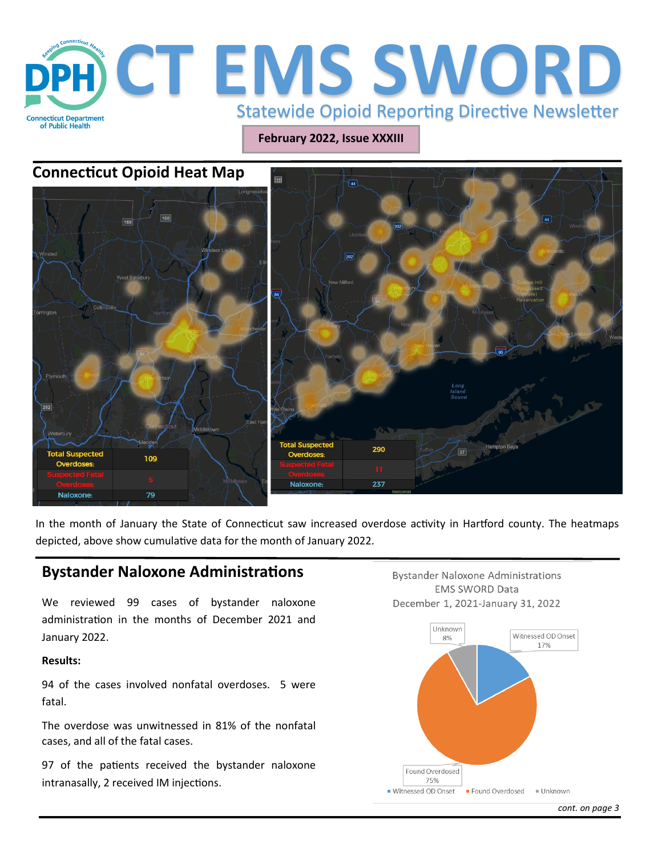

**February 2022, Issue XXXIII**

## **Connecticut Opioid Heat Map**



In the month of January the State of Connecticut saw increased overdose activity in Hartford county. The heatmaps depicted, above show cumulative data for the month of January 2022.

## **Bystander Naloxone Administrations**

We reviewed 99 cases of bystander naloxone administration in the months of December 2021 and January 2022.

#### **Results:**

94 of the cases involved nonfatal overdoses. 5 were fatal.

The overdose was unwitnessed in 81% of the nonfatal cases, and all of the fatal cases.

97 of the patients received the bystander naloxone intranasally, 2 received IM injections.

**Bystander Naloxone Administrations EMS SWORD Data** December 1, 2021-January 31, 2022



*cont. on page 3*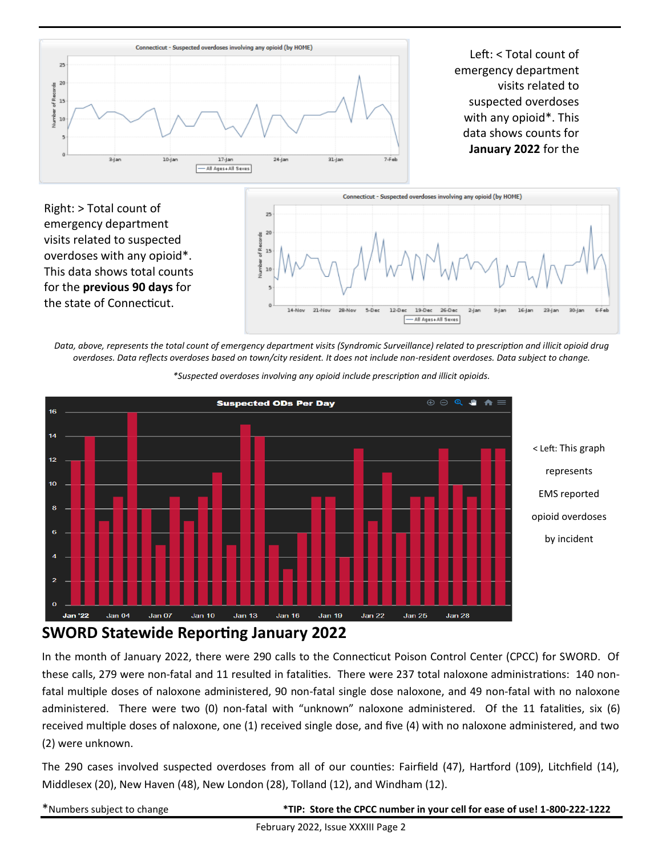

visits related to suspected overdoses with any opioid\*. This data shows total counts for the **previous 90 days** for the state of Connecticut.



*Data, above, represents the total count of emergency department visits (Syndromic Surveillance) related to prescription and illicit opioid drug overdoses. Data reflects overdoses based on town/city resident. It does not include non-resident overdoses. Data subject to change.* 



*\*Suspected overdoses involving any opioid include prescription and illicit opioids.*

# **SWORD Statewide Reporting January 2022**

In the month of January 2022, there were 290 calls to the Connecticut Poison Control Center (CPCC) for SWORD. Of these calls, 279 were non-fatal and 11 resulted in fatalities. There were 237 total naloxone administrations: 140 nonfatal multiple doses of naloxone administered, 90 non-fatal single dose naloxone, and 49 non-fatal with no naloxone administered. There were two (0) non-fatal with "unknown" naloxone administered. Of the 11 fatalities, six (6) received multiple doses of naloxone, one (1) received single dose, and five (4) with no naloxone administered, and two (2) were unknown.

The 290 cases involved suspected overdoses from all of our counties: Fairfield (47), Hartford (109), Litchfield (14), Middlesex (20), New Haven (48), New London (28), Tolland (12), and Windham (12).

|--|

\*Numbers subject to change **\*TIP: Store the CPCC number in your cell for ease of use! 1-800-222-1222**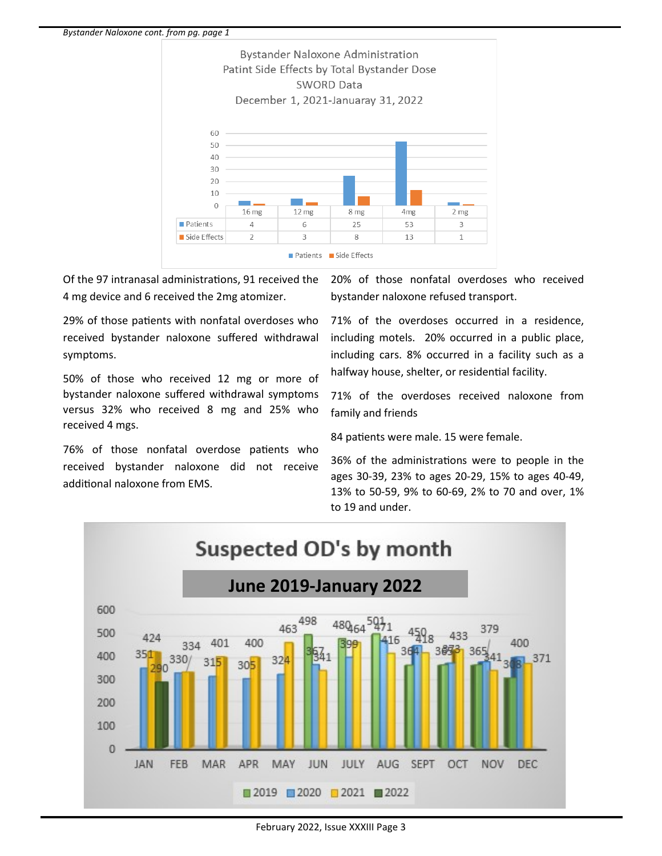

Of the 97 intranasal administrations, 91 received the 4 mg device and 6 received the 2mg atomizer.

29% of those patients with nonfatal overdoses who received bystander naloxone suffered withdrawal symptoms.

50% of those who received 12 mg or more of bystander naloxone suffered withdrawal symptoms versus 32% who received 8 mg and 25% who received 4 mgs.

76% of those nonfatal overdose patients who received bystander naloxone did not receive additional naloxone from EMS.

20% of those nonfatal overdoses who received bystander naloxone refused transport.

71% of the overdoses occurred in a residence, including motels. 20% occurred in a public place, including cars. 8% occurred in a facility such as a halfway house, shelter, or residential facility.

71% of the overdoses received naloxone from family and friends

84 patients were male. 15 were female.

36% of the administrations were to people in the ages 30-39, 23% to ages 20-29, 15% to ages 40-49, 13% to 50-59, 9% to 60-69, 2% to 70 and over, 1% to 19 and under.



February 2022, Issue XXXIII Page 3